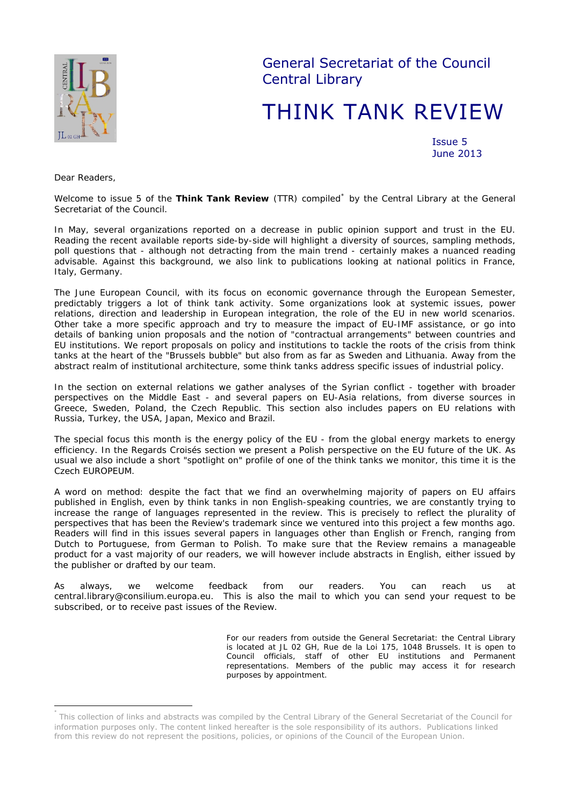

General Secretariat of the Council Central Library

# THINK TANK REVIEW

Issue 5 June 2013

*Dear Readers,* 

 $\overline{a}$ 

*Welcome to issue 5 of the Think Tank Review (TTR) compiled[\\*](#page-0-0) by the Central Library at the General Secretariat of the Council.* 

*In May, several organizations reported on a decrease in public opinion support and trust in the EU. Reading the recent available reports side-by-side will highlight a diversity of sources, sampling methods,*  poll questions that - although not detracting from the main trend - certainly makes a nuanced reading *advisable. Against this background, we also link to publications looking at national politics in France, Italy, Germany.* 

*The June European Council, with its focus on economic governance through the European Semester, predictably triggers a lot of think tank activity. Some organizations look at systemic issues, power relations, direction and leadership in European integration, the role of the EU in new world scenarios. Other take a more specific approach and try to measure the impact of EU-IMF assistance, or go into details of banking union proposals and the notion of "contractual arrangements" between countries and EU institutions. We report proposals on policy and institutions to tackle the roots of the crisis from think*  tanks at the heart of the "Brussels bubble" but also from as far as Sweden and Lithuania. Away from the *abstract realm of institutional architecture, some think tanks address specific issues of industrial policy.* 

*In the section on external relations we gather analyses of the Syrian conflict - together with broader perspectives on the Middle East - and several papers on EU-Asia relations, from diverse sources in Greece, Sweden, Poland, the Czech Republic. This section also includes papers on EU relations with Russia, Turkey, the USA, Japan, Mexico and Brazil.* 

*The special focus this month is the energy policy of the EU - from the global energy markets to energy efficiency. In the Regards Croisés section we present a Polish perspective on the EU future of the UK. As*  usual we also include a short "spotlight on" profile of one of the think tanks we monitor, this time it is the *Czech EUROPEUM.* 

*A word on method: despite the fact that we find an overwhelming majority of papers on EU affairs published in English, even by think tanks in non English-speaking countries, we are constantly trying to increase the range of languages represented in the review. This is precisely to reflect the plurality of perspectives that has been the Review's trademark since we ventured into this project a few months ago. Readers will find in this issues several papers in languages other than English or French, ranging from Dutch to Portuguese, from German to Polish. To make sure that the Review remains a manageable product for a vast majority of our readers, we will however include abstracts in English, either issued by the publisher or drafted by our team.* 

*As always, we welcome feedback from our readers. You can reach us at central.library@consilium.europa.eu. This is also the mail to which you can send your request to be subscribed, or to receive past issues of the Review.* 

> *For our readers from outside the General Secretariat: the Central Library is located at JL 02 GH, Rue de la Loi 175, 1048 Brussels. It is open to Council officials, staff of other EU institutions and Permanent representations. Members of the public may access it for research purposes by appointment.*

<span id="page-0-0"></span>This collection of links and abstracts was compiled by the Central Library of the General Secretariat of the Council for information purposes only. The content linked hereafter is the sole responsibility of its authors. Publications linked from this review do not represent the positions, policies, or opinions of the Council of the European Union.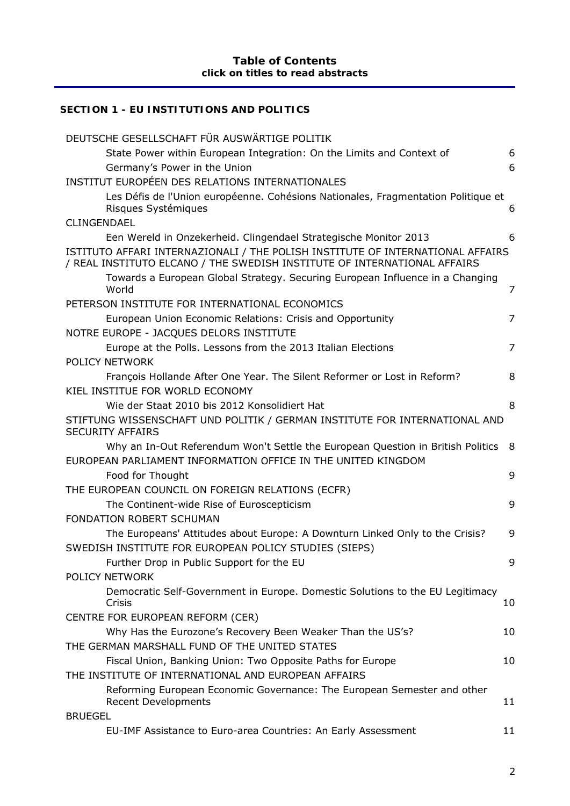# **[SECTION 1 - EU INSTITUTIONS AND POLITICS](#page-5-0)**

| DEUTSCHE GESELLSCHAFT FÜR AUSWÄRTIGE POLITIK                                                                                                               |                |
|------------------------------------------------------------------------------------------------------------------------------------------------------------|----------------|
| State Power within European Integration: On the Limits and Context of                                                                                      | 6              |
| Germany's Power in the Union                                                                                                                               | 6              |
| INSTITUT EUROPÉEN DES RELATIONS INTERNATIONALES                                                                                                            |                |
| Les Défis de l'Union européenne. Cohésions Nationales, Fragmentation Politique et<br>Risques Systémiques                                                   | 6              |
| CLINGENDAEL                                                                                                                                                |                |
| Een Wereld in Onzekerheid. Clingendael Strategische Monitor 2013                                                                                           | 6              |
| ISTITUTO AFFARI INTERNAZIONALI / THE POLISH INSTITUTE OF INTERNATIONAL AFFAIRS<br>/ REAL INSTITUTO ELCANO / THE SWEDISH INSTITUTE OF INTERNATIONAL AFFAIRS |                |
| Towards a European Global Strategy. Securing European Influence in a Changing<br>World                                                                     | 7              |
| PETERSON INSTITUTE FOR INTERNATIONAL ECONOMICS                                                                                                             |                |
| European Union Economic Relations: Crisis and Opportunity                                                                                                  | $\overline{7}$ |
| NOTRE EUROPE - JACQUES DELORS INSTITUTE                                                                                                                    |                |
| Europe at the Polls. Lessons from the 2013 Italian Elections                                                                                               | $\overline{7}$ |
| POLICY NETWORK                                                                                                                                             |                |
| François Hollande After One Year. The Silent Reformer or Lost in Reform?                                                                                   | 8              |
| KIEL INSTITUE FOR WORLD ECONOMY                                                                                                                            |                |
| Wie der Staat 2010 bis 2012 Konsolidiert Hat                                                                                                               | 8              |
| STIFTUNG WISSENSCHAFT UND POLITIK / GERMAN INSTITUTE FOR INTERNATIONAL AND<br><b>SECURITY AFFAIRS</b>                                                      |                |
| Why an In-Out Referendum Won't Settle the European Question in British Politics                                                                            | - 8            |
| EUROPEAN PARLIAMENT INFORMATION OFFICE IN THE UNITED KINGDOM                                                                                               |                |
| Food for Thought                                                                                                                                           | 9              |
| THE EUROPEAN COUNCIL ON FOREIGN RELATIONS (ECFR)                                                                                                           |                |
| The Continent-wide Rise of Euroscepticism                                                                                                                  | 9              |
| FONDATION ROBERT SCHUMAN                                                                                                                                   |                |
| The Europeans' Attitudes about Europe: A Downturn Linked Only to the Crisis?<br>SWEDISH INSTITUTE FOR EUROPEAN POLICY STUDIES (SIEPS)                      | 9              |
| Further Drop in Public Support for the EU                                                                                                                  | 9              |
| <b>POLICY NETWORK</b>                                                                                                                                      |                |
| Democratic Self-Government in Europe. Domestic Solutions to the EU Legitimacy<br>Crisis                                                                    | 10             |
| CENTRE FOR EUROPEAN REFORM (CER)                                                                                                                           |                |
| Why Has the Eurozone's Recovery Been Weaker Than the US's?                                                                                                 | 10             |
| THE GERMAN MARSHALL FUND OF THE UNITED STATES                                                                                                              |                |
| Fiscal Union, Banking Union: Two Opposite Paths for Europe                                                                                                 | 10             |
| THE INSTITUTE OF INTERNATIONAL AND EUROPEAN AFFAIRS                                                                                                        |                |
| Reforming European Economic Governance: The European Semester and other<br><b>Recent Developments</b>                                                      | 11             |
| <b>BRUEGEL</b>                                                                                                                                             |                |
| EU-IMF Assistance to Euro-area Countries: An Early Assessment                                                                                              | 11             |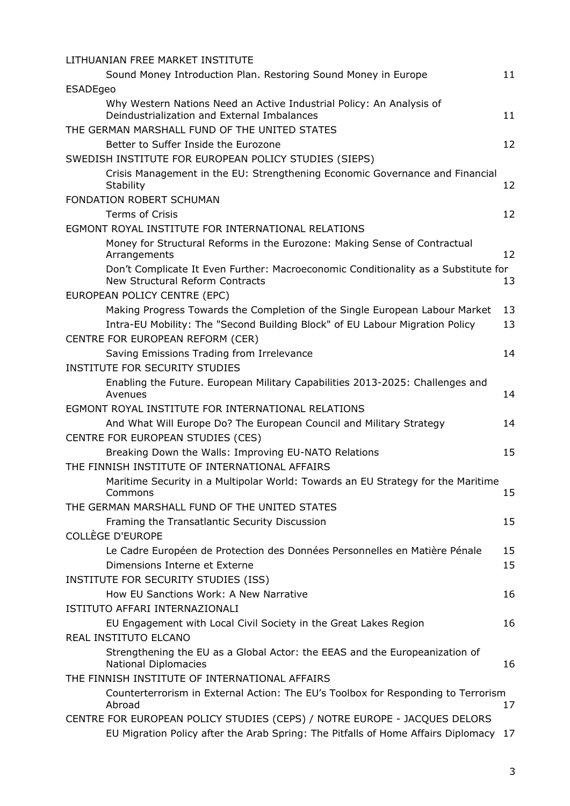| LITHUANIAN FREE MARKET INSTITUTE                                                                                      |    |
|-----------------------------------------------------------------------------------------------------------------------|----|
| Sound Money Introduction Plan. Restoring Sound Money in Europe                                                        | 11 |
| <b>ESADEgeo</b>                                                                                                       |    |
| Why Western Nations Need an Active Industrial Policy: An Analysis of<br>Deindustrialization and External Imbalances   | 11 |
| THE GERMAN MARSHALL FUND OF THE UNITED STATES                                                                         |    |
| Better to Suffer Inside the Eurozone                                                                                  | 12 |
| SWEDISH INSTITUTE FOR EUROPEAN POLICY STUDIES (SIEPS)                                                                 |    |
| Crisis Management in the EU: Strengthening Economic Governance and Financial<br><b>Stability</b>                      | 12 |
| FONDATION ROBERT SCHUMAN                                                                                              |    |
| <b>Terms of Crisis</b>                                                                                                | 12 |
| EGMONT ROYAL INSTITUTE FOR INTERNATIONAL RELATIONS                                                                    |    |
| Money for Structural Reforms in the Eurozone: Making Sense of Contractual<br>Arrangements                             | 12 |
| Don't Complicate It Even Further: Macroeconomic Conditionality as a Substitute for<br>New Structural Reform Contracts | 13 |
| EUROPEAN POLICY CENTRE (EPC)                                                                                          |    |
| Making Progress Towards the Completion of the Single European Labour Market                                           | 13 |
| Intra-EU Mobility: The "Second Building Block" of EU Labour Migration Policy                                          | 13 |
| CENTRE FOR EUROPEAN REFORM (CER)                                                                                      |    |
| Saving Emissions Trading from Irrelevance<br><b>INSTITUTE FOR SECURITY STUDIES</b>                                    | 14 |
| Enabling the Future. European Military Capabilities 2013-2025: Challenges and<br>Avenues                              | 14 |
| EGMONT ROYAL INSTITUTE FOR INTERNATIONAL RELATIONS                                                                    |    |
| And What Will Europe Do? The European Council and Military Strategy                                                   | 14 |
| CENTRE FOR EUROPEAN STUDIES (CES)                                                                                     |    |
| Breaking Down the Walls: Improving EU-NATO Relations                                                                  | 15 |
| THE FINNISH INSTITUTE OF INTERNATIONAL AFFAIRS                                                                        |    |
| Maritime Security in a Multipolar World: Towards an EU Strategy for the Maritime<br>Commons                           | 15 |
| THE GERMAN MARSHALL FUND OF THE UNITED STATES                                                                         |    |
| Framing the Transatlantic Security Discussion                                                                         | 15 |
| COLLÈGE D'EUROPE                                                                                                      |    |
| Le Cadre Européen de Protection des Données Personnelles en Matière Pénale                                            | 15 |
| Dimensions Interne et Externe                                                                                         | 15 |
| INSTITUTE FOR SECURITY STUDIES (ISS)                                                                                  |    |
| How EU Sanctions Work: A New Narrative                                                                                | 16 |
| ISTITUTO AFFARI INTERNAZIONALI                                                                                        |    |
| EU Engagement with Local Civil Society in the Great Lakes Region                                                      | 16 |
| REAL INSTITUTO ELCANO                                                                                                 |    |
| Strengthening the EU as a Global Actor: the EEAS and the Europeanization of<br>National Diplomacies                   | 16 |
| THE FINNISH INSTITUTE OF INTERNATIONAL AFFAIRS                                                                        |    |
| Counterterrorism in External Action: The EU's Toolbox for Responding to Terrorism<br>Abroad                           | 17 |
| CENTRE FOR EUROPEAN POLICY STUDIES (CEPS) / NOTRE EUROPE - JACQUES DELORS                                             |    |
| EU Migration Policy after the Arab Spring: The Pitfalls of Home Affairs Diplomacy 17                                  |    |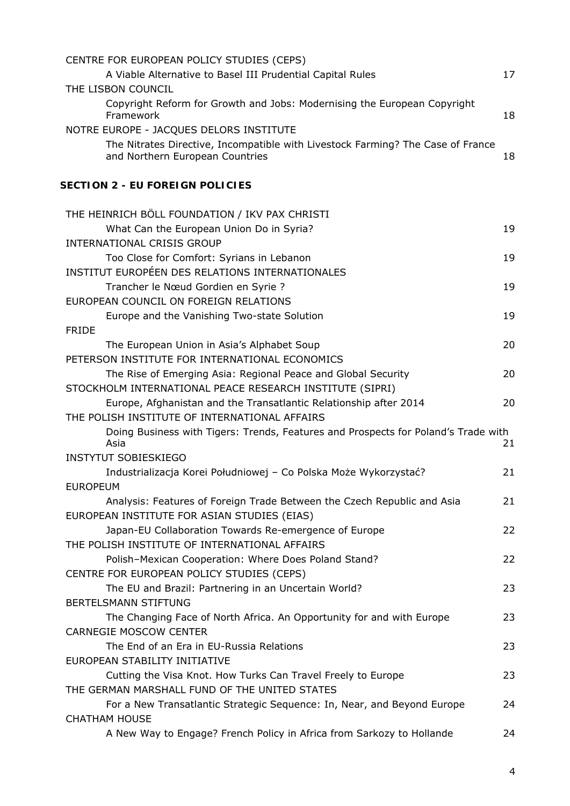| CENTRE FOR EUROPEAN POLICY STUDIES (CEPS)                                                                          |    |
|--------------------------------------------------------------------------------------------------------------------|----|
| A Viable Alternative to Basel III Prudential Capital Rules                                                         | 17 |
| THE LISBON COUNCIL                                                                                                 |    |
| Copyright Reform for Growth and Jobs: Modernising the European Copyright<br>Framework                              | 18 |
| NOTRE EUROPE - JACQUES DELORS INSTITUTE                                                                            |    |
| The Nitrates Directive, Incompatible with Livestock Farming? The Case of France<br>and Northern European Countries | 18 |
| <b>SECTION 2 - EU FOREIGN POLICIES</b>                                                                             |    |
| THE HEINRICH BÖLL FOUNDATION / IKV PAX CHRISTI                                                                     |    |
| What Can the European Union Do in Syria?                                                                           | 19 |
| <b>INTERNATIONAL CRISIS GROUP</b>                                                                                  |    |
| Too Close for Comfort: Syrians in Lebanon                                                                          | 19 |
| INSTITUT EUROPÉEN DES RELATIONS INTERNATIONALES                                                                    |    |
| Trancher le Nœud Gordien en Syrie ?                                                                                | 19 |
| EUROPEAN COUNCIL ON FOREIGN RELATIONS                                                                              |    |
| Europe and the Vanishing Two-state Solution                                                                        | 19 |
| <b>FRIDE</b>                                                                                                       |    |
| The European Union in Asia's Alphabet Soup                                                                         | 20 |
| PETERSON INSTITUTE FOR INTERNATIONAL ECONOMICS                                                                     |    |
| The Rise of Emerging Asia: Regional Peace and Global Security                                                      | 20 |
| STOCKHOLM INTERNATIONAL PEACE RESEARCH INSTITUTE (SIPRI)                                                           |    |
| Europe, Afghanistan and the Transatlantic Relationship after 2014                                                  | 20 |
| THE POLISH INSTITUTE OF INTERNATIONAL AFFAIRS                                                                      |    |
| Doing Business with Tigers: Trends, Features and Prospects for Poland's Trade with<br>Asia                         | 21 |
| <b>INSTYTUT SOBIESKIEGO</b>                                                                                        |    |
| Industrializacja Korei Południowej - Co Polska Może Wykorzystać?                                                   | 21 |
| <b>EUROPEUM</b>                                                                                                    |    |
| Analysis: Features of Foreign Trade Between the Czech Republic and Asia                                            | 21 |
| EUROPEAN INSTITUTE FOR ASIAN STUDIES (EIAS)                                                                        |    |
| Japan-EU Collaboration Towards Re-emergence of Europe                                                              | 22 |
| THE POLISH INSTITUTE OF INTERNATIONAL AFFAIRS                                                                      |    |
| Polish-Mexican Cooperation: Where Does Poland Stand?                                                               | 22 |
| CENTRE FOR EUROPEAN POLICY STUDIES (CEPS)                                                                          |    |
| The EU and Brazil: Partnering in an Uncertain World?                                                               | 23 |
| <b>BERTELSMANN STIFTUNG</b>                                                                                        |    |
| The Changing Face of North Africa. An Opportunity for and with Europe                                              | 23 |
| <b>CARNEGIE MOSCOW CENTER</b>                                                                                      |    |
| The End of an Era in EU-Russia Relations                                                                           | 23 |
| EUROPEAN STABILITY INITIATIVE                                                                                      |    |
| Cutting the Visa Knot. How Turks Can Travel Freely to Europe                                                       | 23 |
| THE GERMAN MARSHALL FUND OF THE UNITED STATES                                                                      |    |
| For a New Transatlantic Strategic Sequence: In, Near, and Beyond Europe                                            | 24 |
| <b>CHATHAM HOUSE</b>                                                                                               |    |
| A New Way to Engage? French Policy in Africa from Sarkozy to Hollande                                              | 24 |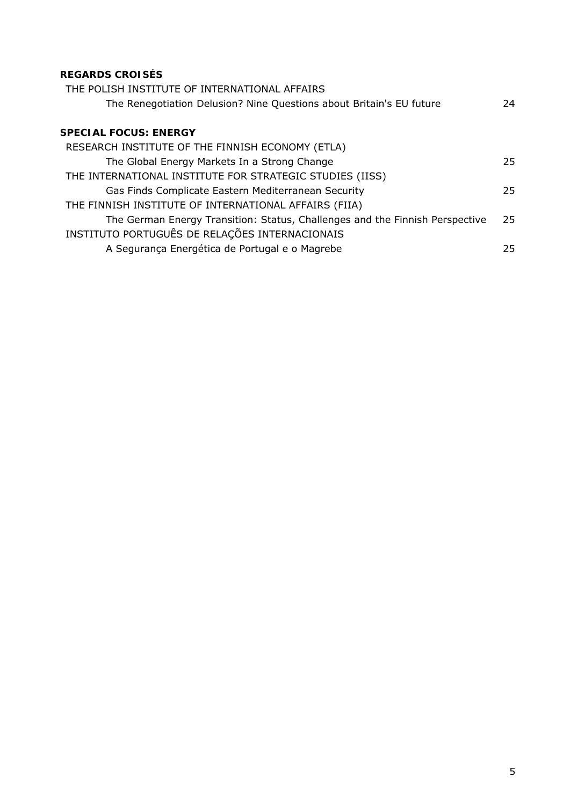## **[REGARDS CROISÉS](#page-23-4)**

| THE POLISH INSTITUTE OF INTERNATIONAL AFFAIRS                                |     |
|------------------------------------------------------------------------------|-----|
| The Renegotiation Delusion? Nine Questions about Britain's EU future         | 24  |
|                                                                              |     |
| <b>SPECIAL FOCUS: ENERGY</b>                                                 |     |
| RESEARCH INSTITUTE OF THE FINNISH ECONOMY (ETLA)                             |     |
| The Global Energy Markets In a Strong Change                                 | 25. |
| THE INTERNATIONAL INSTITUTE FOR STRATEGIC STUDIES (IISS)                     |     |
| Gas Finds Complicate Eastern Mediterranean Security                          | 25. |
| THE FINNISH INSTITUTE OF INTERNATIONAL AFFAIRS (FIIA)                        |     |
| The German Energy Transition: Status, Challenges and the Finnish Perspective | 25  |
| INSTITUTO PORTUGUÊS DE RELAÇÕES INTERNACIONAIS                               |     |
| A Segurança Energética de Portugal e o Magrebe                               | 25  |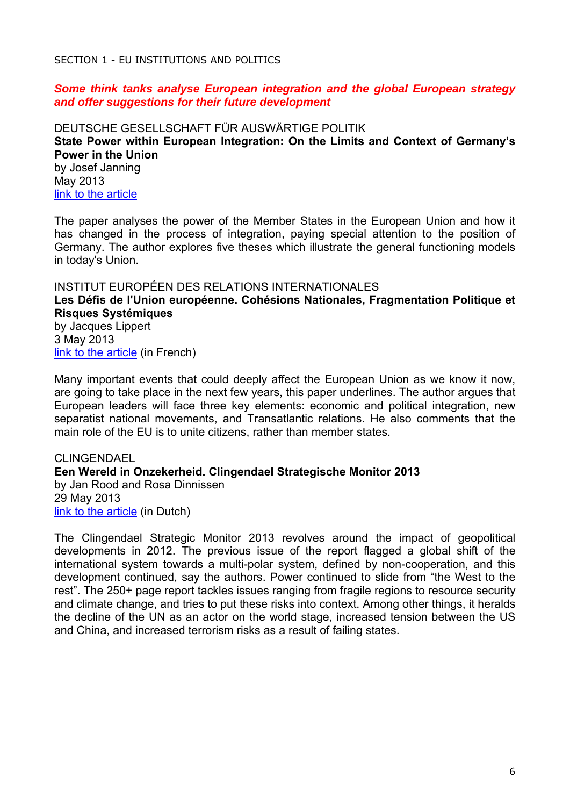<span id="page-5-0"></span>SECTION 1 - EU INSTITUTIONS AND POLITICS

#### *Some think tanks analyse European integration and the global European strategy and offer suggestions for their future development*

<span id="page-5-2"></span><span id="page-5-1"></span>DEUTSCHE GESELLSCHAFT FÜR AUSWÄRTIGE POLITIK **State Power within European Integration: On the Limits and Context of Germany's Power in the Union**  by Josef Janning May 2013 [link to the article](https://dgap.org/en/article/getFullPDF/23743)

The paper analyses the power of the Member States in the European Union and how it has changed in the process of integration, paying special attention to the position of Germany. The author explores five theses which illustrate the general functioning models in today's Union.

#### <span id="page-5-3"></span>INSTITUT EUROPÉEN DES RELATIONS INTERNATIONALES

<span id="page-5-4"></span>**Les Défis de l'Union européenne. Cohésions Nationales, Fragmentation Politique et Risques Systémiques** 

by Jacques Lippert 3 May 2013 [link to the article](http://www.ieri.be/sites/default/files/filefield/news/D%C3%A9fis%20de%20l) (in French)

Many important events that could deeply affect the European Union as we know it now, are going to take place in the next few years, this paper underlines. The author argues that European leaders will face three key elements: economic and political integration, new separatist national movements, and Transatlantic relations. He also comments that the main role of the EU is to unite citizens, rather than member states.

<span id="page-5-6"></span><span id="page-5-5"></span>**CLINGENDAEL Een Wereld in Onzekerheid. Clingendael Strategische Monitor 2013**  by Jan Rood and Rosa Dinnissen 29 May 2013 [link to the article](http://www.clingendael.nl/sites/default/files/Strategische%20Monitor%202013.pdf) (in Dutch)

The Clingendael Strategic Monitor 2013 revolves around the impact of geopolitical developments in 2012. The previous issue of the report flagged a global shift of the international system towards a multi-polar system, defined by non-cooperation, and this development continued, say the authors. Power continued to slide from "the West to the rest". The 250+ page report tackles issues ranging from fragile regions to resource security and climate change, and tries to put these risks into context. Among other things, it heralds the decline of the UN as an actor on the world stage, increased tension between the US and China, and increased terrorism risks as a result of failing states.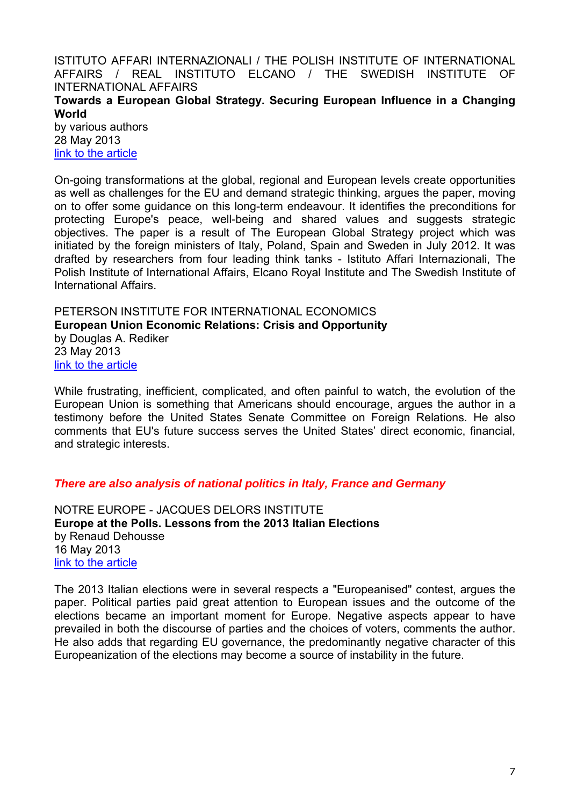<span id="page-6-0"></span>ISTITUTO AFFARI INTERNAZIONALI / THE POLISH INSTITUTE OF INTERNATIONAL AFFAIRS / REAL INSTITUTO ELCANO / THE SWEDISH INSTITUTE OF INTERNATIONAL AFFAIRS **Towards a European Global Strategy. Securing European Influence in a Changing World** 

<span id="page-6-1"></span>by various authors 28 May 2013 [link to the article](http://www.realinstitutoelcano.org/wps/wcm/connect/e59df3004fc9912d8289caccba746acc/EGS_Report.pdf?MOD=AJPERES&CACHEID=e59df3004fc9912d8289caccba746acc)

On-going transformations at the global, regional and European levels create opportunities as well as challenges for the EU and demand strategic thinking, argues the paper, moving on to offer some guidance on this long-term endeavour. It identifies the preconditions for protecting Europe's peace, well-being and shared values and suggests strategic objectives. The paper is a result of The European Global Strategy project which was initiated by the foreign ministers of Italy, Poland, Spain and Sweden in July 2012. It was drafted by researchers from four leading think tanks - Istituto Affari Internazionali, The Polish Institute of International Affairs, Elcano Royal Institute and The Swedish Institute of International Affairs.

<span id="page-6-3"></span><span id="page-6-2"></span>PETERSON INSTITUTE FOR INTERNATIONAL ECONOMICS **European Union Economic Relations: Crisis and Opportunity**  by Douglas A. Rediker 23 May 2013 [link to the article](http://www.iie.com/publications/testimony/rediker20130523.pdf)

While frustrating, inefficient, complicated, and often painful to watch, the evolution of the European Union is something that Americans should encourage, argues the author in a testimony before the United States Senate Committee on Foreign Relations. He also comments that EU's future success serves the United States' direct economic, financial, and strategic interests.

## *There are also analysis of national politics in Italy, France and Germany*

<span id="page-6-5"></span><span id="page-6-4"></span>NOTRE EUROPE - JACQUES DELORS INSTITUTE **Europe at the Polls. Lessons from the 2013 Italian Elections**  by Renaud Dehousse 16 May 2013 [link to the article](http://www.eng.notre-europe.eu/media/italianelections-dehousse-ne-jdi-may13.pdf)

The 2013 Italian elections were in several respects a "Europeanised" contest, argues the paper. Political parties paid great attention to European issues and the outcome of the elections became an important moment for Europe. Negative aspects appear to have prevailed in both the discourse of parties and the choices of voters, comments the author. He also adds that regarding EU governance, the predominantly negative character of this Europeanization of the elections may become a source of instability in the future.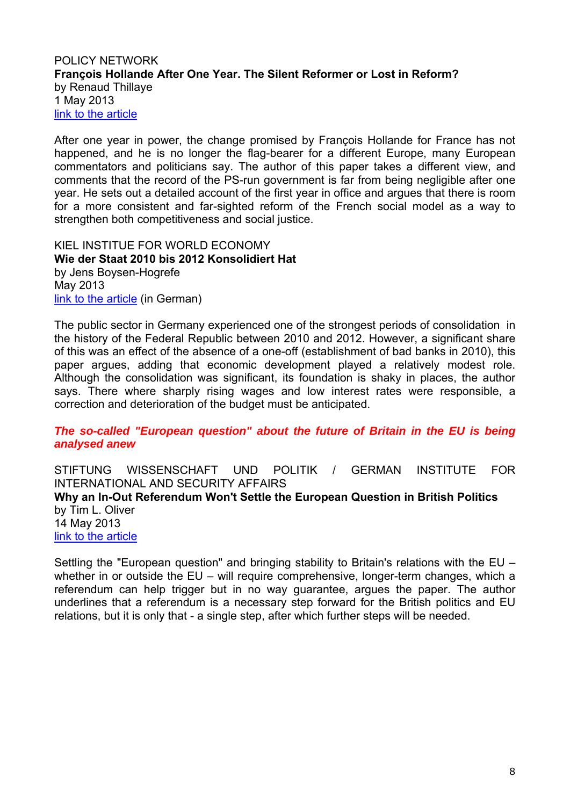#### <span id="page-7-1"></span><span id="page-7-0"></span>POLICY NETWORK **François Hollande After One Year. The Silent Reformer or Lost in Reform?**  by Renaud Thillaye 1 May 2013 [link to the article](http://www.policy-network.net/publications/4381/Fran%C3%A7ois-Hollande-after-One-Year)

After one year in power, the change promised by François Hollande for France has not happened, and he is no longer the flag-bearer for a different Europe, many European commentators and politicians say. The author of this paper takes a different view, and comments that the record of the PS-run government is far from being negligible after one year. He sets out a detailed account of the first year in office and argues that there is room for a more consistent and far-sighted reform of the French social model as a way to strengthen both competitiveness and social justice.

<span id="page-7-3"></span><span id="page-7-2"></span>KIEL INSTITUE FOR WORLD ECONOMY **Wie der Staat 2010 bis 2012 Konsolidiert Hat**  by Jens Boysen-Hogrefe May 2013 [link to the article](http://www.ifw-kiel.de/wirtschaftspolitik/politikberatung/kiel-policy-brief/KPB_62_Boysen-Hogrefe.pdf) (in German)

The public sector in Germany experienced one of the strongest periods of consolidation in the history of the Federal Republic between 2010 and 2012. However, a significant share of this was an effect of the absence of a one-off (establishment of bad banks in 2010), this paper argues, adding that economic development played a relatively modest role. Although the consolidation was significant, its foundation is shaky in places, the author says. There where sharply rising wages and low interest rates were responsible, a correction and deterioration of the budget must be anticipated.

## *The so-called "European question" about the future of Britain in the EU is being analysed anew*

<span id="page-7-4"></span>STIFTUNG WISSENSCHAFT UND POLITIK / GERMAN INSTITUTE FOR INTERNATIONAL AND SECURITY AFFAIRS

#### <span id="page-7-5"></span>**Why an In-Out Referendum Won't Settle the European Question in British Politics**  by Tim L. Oliver 14 May 2013

[link to the article](http://www.swp-berlin.org/fileadmin/contents/products/comments/2013C14_olv.pdf)

Settling the "European question" and bringing stability to Britain's relations with the EU – whether in or outside the EU – will require comprehensive, longer-term changes, which a referendum can help trigger but in no way guarantee, argues the paper. The author underlines that a referendum is a necessary step forward for the British politics and EU relations, but it is only that - a single step, after which further steps will be needed.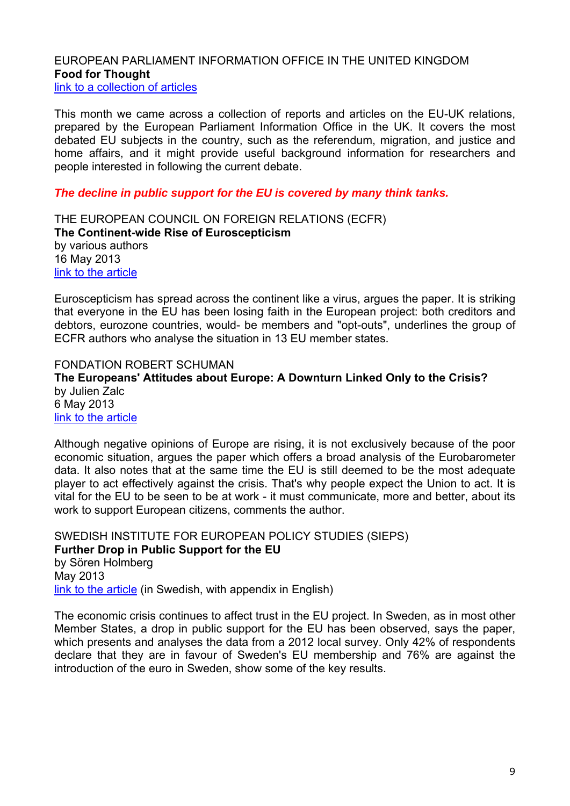#### <span id="page-8-1"></span><span id="page-8-0"></span>EUROPEAN PARLIAMENT INFORMATION OFFICE IN THE UNITED KINGDOM **Food for Thought**  [link to a collection of articles](http://www.europarl.org.uk/view/en/Food_for_Thought.html)

This month we came across a collection of reports and articles on the EU-UK relations, prepared by the European Parliament Information Office in the UK. It covers the most debated EU subjects in the country, such as the referendum, migration, and justice and home affairs, and it might provide useful background information for researchers and people interested in following the current debate.

## *The decline in public support for the EU is covered by many think tanks.*

<span id="page-8-3"></span><span id="page-8-2"></span>THE EUROPEAN COUNCIL ON FOREIGN RELATIONS (ECFR) **The Continent-wide Rise of Euroscepticism**  by various authors 16 May 2013 [link to the article](http://ecfr.eu/page/-/ECFR79_EUROSCEPTICISM_BRIEF_AW.pdf)

Euroscepticism has spread across the continent like a virus, argues the paper. It is striking that everyone in the EU has been losing faith in the European project: both creditors and debtors, eurozone countries, would- be members and "opt-outs", underlines the group of ECFR authors who analyse the situation in 13 EU member states.

<span id="page-8-5"></span><span id="page-8-4"></span>FONDATION ROBERT SCHUMAN **The Europeans' Attitudes about Europe: A Downturn Linked Only to the Crisis?**  by Julien Zalc 6 May 2013 [link to the article](http://www.robert-schuman.eu/en/doc/questions-d-europe/qe-277-en.pdf)

Although negative opinions of Europe are rising, it is not exclusively because of the poor economic situation, argues the paper which offers a broad analysis of the Eurobarometer data. It also notes that at the same time the EU is still deemed to be the most adequate player to act effectively against the crisis. That's why people expect the Union to act. It is vital for the EU to be seen to be at work - it must communicate, more and better, about its work to support European citizens, comments the author.

<span id="page-8-7"></span><span id="page-8-6"></span>SWEDISH INSTITUTE FOR EUROPEAN POLICY STUDIES (SIEPS) **Further Drop in Public Support for the EU**  by Sören Holmberg May 2013 [link to the article](http://www.sieps.se/en/publikationer/further-drop-in-public-support-for-the-eu-20138epa) (in Swedish, with appendix in English)

The economic crisis continues to affect trust in the EU project. In Sweden, as in most other Member States, a drop in public support for the EU has been observed, says the paper, which presents and analyses the data from a 2012 local survey. Only 42% of respondents declare that they are in favour of Sweden's EU membership and 76% are against the introduction of the euro in Sweden, show some of the key results.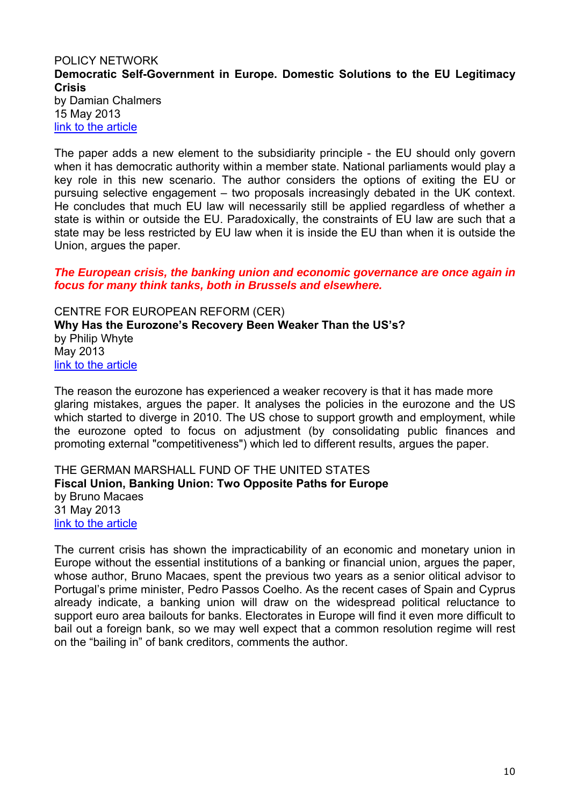## <span id="page-9-1"></span><span id="page-9-0"></span>POLICY NETWORK **Democratic Self-Government in Europe. Domestic Solutions to the EU Legitimacy Crisis**  by Damian Chalmers 15 May 2013

[link to the article](http://www.policy-network.net/publications/4399/Democratic-Self-Government-in-Europe)

The paper adds a new element to the subsidiarity principle - the EU should only govern when it has democratic authority within a member state. National parliaments would play a key role in this new scenario. The author considers the options of exiting the EU or pursuing selective engagement – two proposals increasingly debated in the UK context. He concludes that much EU law will necessarily still be applied regardless of whether a state is within or outside the EU. Paradoxically, the constraints of EU law are such that a state may be less restricted by EU law when it is inside the EU than when it is outside the Union, argues the paper.

#### *The European crisis, the banking union and economic governance are once again in focus for many think tanks, both in Brussels and elsewhere.*

<span id="page-9-3"></span><span id="page-9-2"></span>CENTRE FOR EUROPEAN REFORM (CER) **Why Has the Eurozone's Recovery Been Weaker Than the US's?**  by Philip Whyte May 2013 [link to the article](http://www.cer.org.uk/sites/default/files/publications/attachments/pdf/2013/bulletin90_pw_article2-7418.pdf)

The reason the eurozone has experienced a weaker recovery is that it has made more glaring mistakes, argues the paper. It analyses the policies in the eurozone and the US which started to diverge in 2010. The US chose to support growth and employment, while the eurozone opted to focus on adjustment (by consolidating public finances and promoting external "competitiveness") which led to different results, argues the paper.

<span id="page-9-5"></span><span id="page-9-4"></span>THE GERMAN MARSHALL FUND OF THE UNITED STATES **Fiscal Union, Banking Union: Two Opposite Paths for Europe**  by Bruno Macaes 31 May 2013 [link to the article](http://www.gmfus.org/archives/fiscal-union-banking-union-two-opposite-paths-for-europe/)

The current crisis has shown the impracticability of an economic and monetary union in Europe without the essential institutions of a banking or financial union, argues the paper, whose author, Bruno Macaes, spent the previous two years as a senior olitical advisor to Portugal's prime minister, Pedro Passos Coelho. As the recent cases of Spain and Cyprus already indicate, a banking union will draw on the widespread political reluctance to support euro area bailouts for banks. Electorates in Europe will find it even more difficult to bail out a foreign bank, so we may well expect that a common resolution regime will rest on the "bailing in" of bank creditors, comments the author.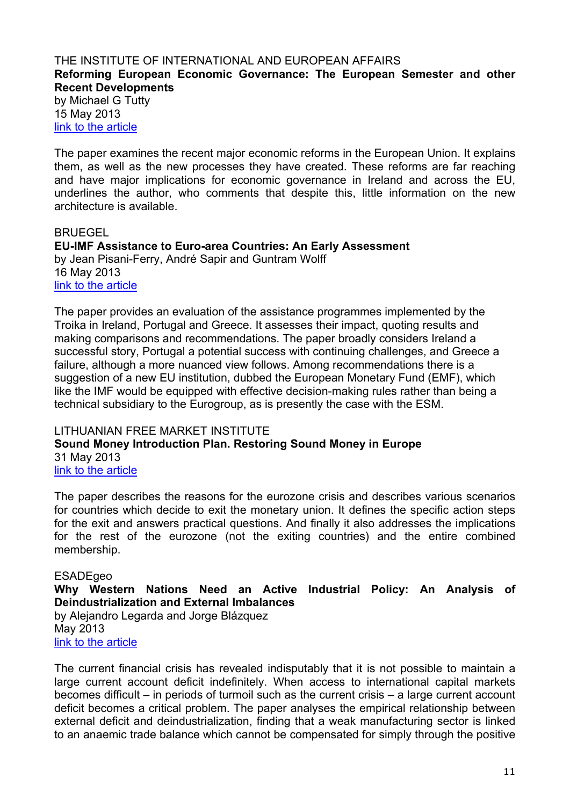## <span id="page-10-1"></span><span id="page-10-0"></span>THE INSTITUTE OF INTERNATIONAL AND EUROPEAN AFFAIRS **Reforming European Economic Governance: The European Semester and other Recent Developments**

by Michael G Tutty 15 May 2013 [link to the article](http://www.iiea.com/ftp/Publications/IIEA-Economic-Governance-Paper-1_IIEA_2013.pdf)

The paper examines the recent major economic reforms in the European Union. It explains them, as well as the new processes they have created. These reforms are far reaching and have major implications for economic governance in Ireland and across the EU, underlines the author, who comments that despite this, little information on the new architecture is available.

## <span id="page-10-2"></span>BRUEGEL

<span id="page-10-3"></span>**EU-IMF Assistance to Euro-area Countries: An Early Assessment**  by Jean Pisani-Ferry, André Sapir and Guntram Wolff 16 May 2013 [link to the article](http://www.bruegel.org/publications/publication-detail/publication/779-eu-imf-assistance-to-euro-area-countries-an-early-assessment/)

The paper provides an evaluation of the assistance programmes implemented by the Troika in Ireland, Portugal and Greece. It assesses their impact, quoting results and making comparisons and recommendations. The paper broadly considers Ireland a successful story, Portugal a potential success with continuing challenges, and Greece a failure, although a more nuanced view follows. Among recommendations there is a suggestion of a new EU institution, dubbed the European Monetary Fund (EMF), which like the IMF would be equipped with effective decision-making rules rather than being a technical subsidiary to the Eurogroup, as is presently the case with the ESM.

## <span id="page-10-5"></span><span id="page-10-4"></span>LITHUANIAN FREE MARKET INSTITUTE **Sound Money Introduction Plan. Restoring Sound Money in Europe**  31 May 2013 [link to the article](http://files.lrinka.lt/analitiniai%20darbai/LFMI_Sound%20Money%20Introduction%20Plan_2012.pdf)

The paper describes the reasons for the eurozone crisis and describes various scenarios for countries which decide to exit the monetary union. It defines the specific action steps for the exit and answers practical questions. And finally it also addresses the implications for the rest of the eurozone (not the exiting countries) and the entire combined membership.

## <span id="page-10-6"></span>ESADEgeo

## <span id="page-10-7"></span>**Why Western Nations Need an Active Industrial Policy: An Analysis of Deindustrialization and External Imbalances**

by Alejandro Legarda and Jorge Blázquez May 2013 [link to the article](http://www.esadegeo.com/position-papers)

The current financial crisis has revealed indisputably that it is not possible to maintain a large current account deficit indefinitely. When access to international capital markets becomes difficult – in periods of turmoil such as the current crisis – a large current account deficit becomes a critical problem. The paper analyses the empirical relationship between external deficit and deindustrialization, finding that a weak manufacturing sector is linked to an anaemic trade balance which cannot be compensated for simply through the positive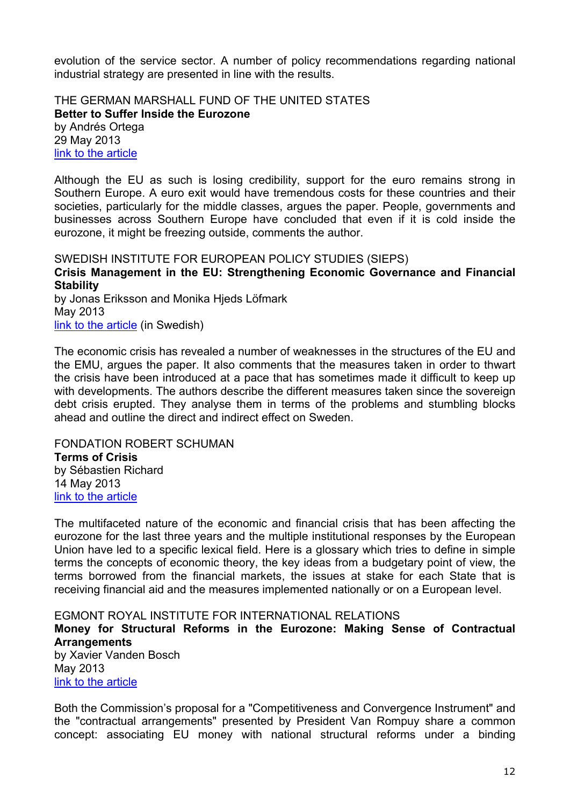evolution of the service sector. A number of policy recommendations regarding national industrial strategy are presented in line with the results.

<span id="page-11-1"></span><span id="page-11-0"></span>THE GERMAN MARSHALL FUND OF THE UNITED STATES **Better to Suffer Inside the Eurozone**  by Andrés Ortega 29 May 2013 [link to the article](http://www.gmfus.org/archives/better-to-suffer-inside-the-eurozone)

Although the EU as such is losing credibility, support for the euro remains strong in Southern Europe. A euro exit would have tremendous costs for these countries and their societies, particularly for the middle classes, argues the paper. People, governments and businesses across Southern Europe have concluded that even if it is cold inside the eurozone, it might be freezing outside, comments the author.

<span id="page-11-3"></span><span id="page-11-2"></span>SWEDISH INSTITUTE FOR EUROPEAN POLICY STUDIES (SIEPS) **Crisis Management in the EU: Strengthening Economic Governance and Financial Stability**  by Jonas Eriksson and Monika Hjeds Löfmark May 2013

[link to the article](http://www.sieps.se/sites/default/files/2013_3_webb_0.pdf) (in Swedish)

The economic crisis has revealed a number of weaknesses in the structures of the EU and the EMU, argues the paper. It also comments that the measures taken in order to thwart the crisis have been introduced at a pace that has sometimes made it difficult to keep up with developments. The authors describe the different measures taken since the sovereign debt crisis erupted. They analyse them in terms of the problems and stumbling blocks ahead and outline the direct and indirect effect on Sweden.

<span id="page-11-5"></span><span id="page-11-4"></span>FONDATION ROBERT SCHUMAN **Terms of Crisis**  by Sébastien Richard 14 May 2013

[link to the article](http://www.robert-schuman.eu/en/doc/questions-d-europe/qe-278-en.pdf)

The multifaceted nature of the economic and financial crisis that has been affecting the eurozone for the last three years and the multiple institutional responses by the European Union have led to a specific lexical field. Here is a glossary which tries to define in simple terms the concepts of economic theory, the key ideas from a budgetary point of view, the terms borrowed from the financial markets, the issues at stake for each State that is receiving financial aid and the measures implemented nationally or on a European level.

<span id="page-11-6"></span>EGMONT ROYAL INSTITUTE FOR INTERNATIONAL RELATIONS

<span id="page-11-7"></span>**Money for Structural Reforms in the Eurozone: Making Sense of Contractual Arrangements** 

by Xavier Vanden Bosch May 2013 [link to the article](http://www.egmontinstitute.be/paperegm/ep57.pdf)

Both the Commission's proposal for a "Competitiveness and Convergence Instrument" and the "contractual arrangements" presented by President Van Rompuy share a common concept: associating EU money with national structural reforms under a binding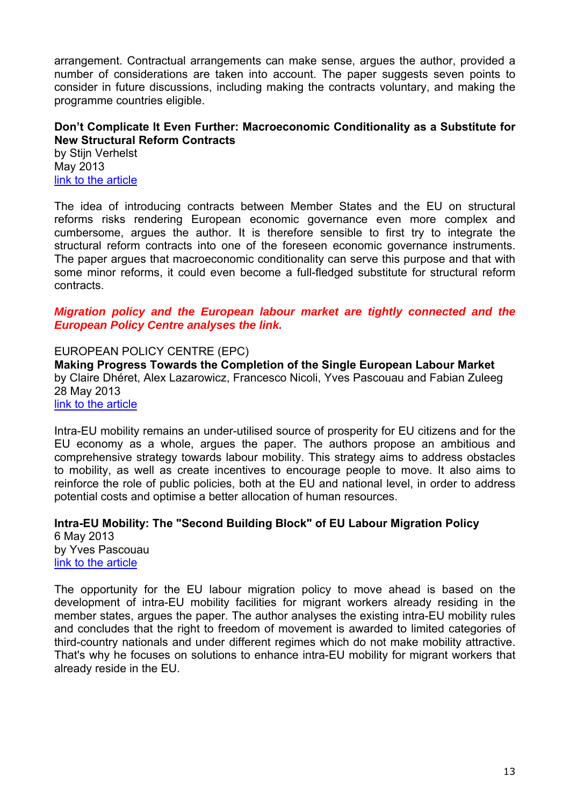arrangement. Contractual arrangements can make sense, argues the author, provided a number of considerations are taken into account. The paper suggests seven points to consider in future discussions, including making the contracts voluntary, and making the programme countries eligible.

## <span id="page-12-0"></span>**Don't Complicate It Even Further: Macroeconomic Conditionality as a Substitute for New Structural Reform Contracts**

by Stijn Verhelst May 2013 [link to the article](http://www.egmontinstitute.be/papers/13/eur/EPB15.pdf)

The idea of introducing contracts between Member States and the EU on structural reforms risks rendering European economic governance even more complex and cumbersome, argues the author. It is therefore sensible to first try to integrate the structural reform contracts into one of the foreseen economic governance instruments. The paper argues that macroeconomic conditionality can serve this purpose and that with some minor reforms, it could even become a full-fledged substitute for structural reform contracts.

## *Migration policy and the European labour market are tightly connected and the European Policy Centre analyses the link.*

<span id="page-12-1"></span>EUROPEAN POLICY CENTRE (EPC)

<span id="page-12-2"></span>**Making Progress Towards the Completion of the Single European Labour Market**  by Claire Dhéret, Alex Lazarowicz, Francesco Nicoli, Yves Pascouau and Fabian Zuleeg 28 May 2013

[link to the article](http://www.epc.eu/documents/uploads/pub_3529_single_european_labour_market.pdf)

Intra-EU mobility remains an under-utilised source of prosperity for EU citizens and for the EU economy as a whole, argues the paper. The authors propose an ambitious and comprehensive strategy towards labour mobility. This strategy aims to address obstacles to mobility, as well as create incentives to encourage people to move. It also aims to reinforce the role of public policies, both at the EU and national level, in order to address potential costs and optimise a better allocation of human resources.

<span id="page-12-3"></span>**Intra-EU Mobility: The "Second Building Block" of EU Labour Migration Policy**  6 May 2013 by Yves Pascouau [link to the article](http://www.epc.eu/documents/uploads/pub_3500_intra-eu_mobility.pdf)

The opportunity for the EU labour migration policy to move ahead is based on the development of intra-EU mobility facilities for migrant workers already residing in the member states, argues the paper. The author analyses the existing intra-EU mobility rules and concludes that the right to freedom of movement is awarded to limited categories of third-country nationals and under different regimes which do not make mobility attractive. That's why he focuses on solutions to enhance intra-EU mobility for migrant workers that already reside in the EU.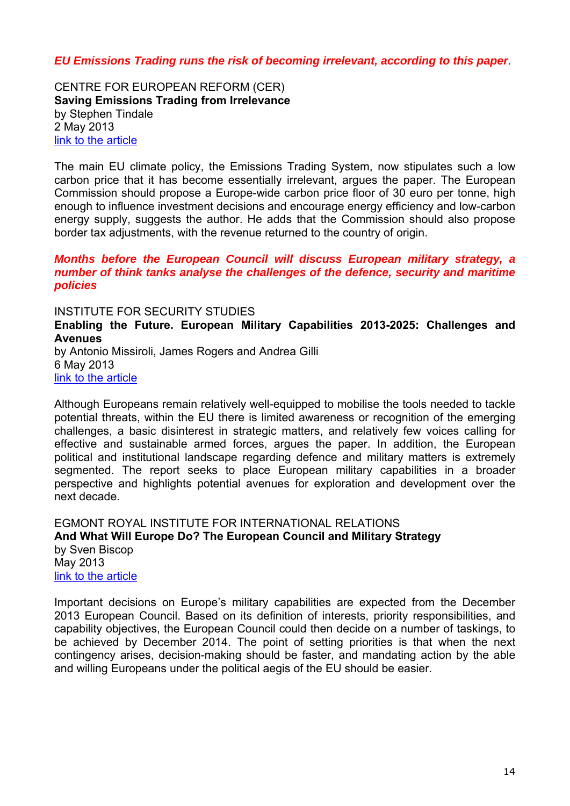## *EU Emissions Trading runs the risk of becoming irrelevant, according to this paper*.

<span id="page-13-1"></span><span id="page-13-0"></span>CENTRE FOR EUROPEAN REFORM (CER) **Saving Emissions Trading from Irrelevance**  by Stephen Tindale 2 May 2013 [link to the article](http://www.cer.org.uk/sites/default/files/publications/attachments/pdf/2013/tgae2013_tindale-7289.pdf)

The main EU climate policy, the Emissions Trading System, now stipulates such a low carbon price that it has become essentially irrelevant, argues the paper. The European Commission should propose a Europe-wide carbon price floor of 30 euro per tonne, high enough to influence investment decisions and encourage energy efficiency and low-carbon energy supply, suggests the author. He adds that the Commission should also propose border tax adjustments, with the revenue returned to the country of origin.

#### *Months before the European Council will discuss European military strategy, a number of think tanks analyse the challenges of the defence, security and maritime policies*

<span id="page-13-2"></span>INSTITUTE FOR SECURITY STUDIES

<span id="page-13-3"></span>**Enabling the Future. European Military Capabilities 2013-2025: Challenges and Avenues** 

by Antonio Missiroli, James Rogers and Andrea Gilli 6 May 2013 [link to the article](http://www.iss.europa.eu/uploads/media/Report_16.pdf)

Although Europeans remain relatively well-equipped to mobilise the tools needed to tackle potential threats, within the EU there is limited awareness or recognition of the emerging challenges, a basic disinterest in strategic matters, and relatively few voices calling for effective and sustainable armed forces, argues the paper. In addition, the European political and institutional landscape regarding defence and military matters is extremely segmented. The report seeks to place European military capabilities in a broader perspective and highlights potential avenues for exploration and development over the next decade.

<span id="page-13-5"></span><span id="page-13-4"></span>EGMONT ROYAL INSTITUTE FOR INTERNATIONAL RELATIONS **And What Will Europe Do? The European Council and Military Strategy**  by Sven Biscop May 2013 [link to the article](http://www.egmontinstitute.be/papers/13/sec-gov/SPB46.pdf)

Important decisions on Europe's military capabilities are expected from the December 2013 European Council. Based on its definition of interests, priority responsibilities, and capability objectives, the European Council could then decide on a number of taskings, to be achieved by December 2014. The point of setting priorities is that when the next contingency arises, decision-making should be faster, and mandating action by the able and willing Europeans under the political aegis of the EU should be easier.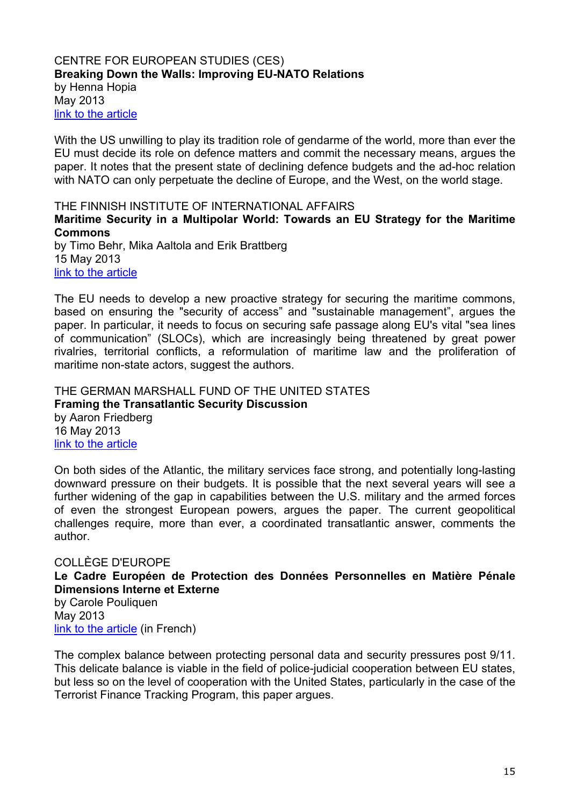#### <span id="page-14-1"></span><span id="page-14-0"></span>CENTRE FOR EUROPEAN STUDIES (CES) **Breaking Down the Walls: Improving EU-NATO Relations**  by Henna Hopia May 2013 [link to the article](http://thinkingeurope.eu/sites/default/files/publication-files/livret_eu-nato-web.pdf)

With the US unwilling to play its tradition role of gendarme of the world, more than ever the EU must decide its role on defence matters and commit the necessary means, argues the paper. It notes that the present state of declining defence budgets and the ad-hoc relation with NATO can only perpetuate the decline of Europe, and the West, on the world stage.

<span id="page-14-2"></span>THE FINNISH INSTITUTE OF INTERNATIONAL AFFAIRS

<span id="page-14-3"></span>**Maritime Security in a Multipolar World: Towards an EU Strategy for the Maritime Commons** 

by Timo Behr, Mika Aaltola and Erik Brattberg 15 May 2013 [link to the article](http://www.fiia.fi/en/publication/340/maritime_security_in_a_multipolar_world/)

The EU needs to develop a new proactive strategy for securing the maritime commons, based on ensuring the "security of access" and "sustainable management", argues the paper. In particular, it needs to focus on securing safe passage along EU's vital "sea lines of communication" (SLOCs), which are increasingly being threatened by great power rivalries, territorial conflicts, a reformulation of maritime law and the proliferation of maritime non-state actors, suggest the authors.

<span id="page-14-5"></span><span id="page-14-4"></span>THE GERMAN MARSHALL FUND OF THE UNITED STATES **Framing the Transatlantic Security Discussion**  by Aaron Friedberg 16 May 2013 [link to the article](http://www.gmfus.org/wp-content/blogs.dir/1/files_mf/1368727307TSTF_Friedberg_Framing_May13.pdf)

On both sides of the Atlantic, the military services face strong, and potentially long-lasting downward pressure on their budgets. It is possible that the next several years will see a further widening of the gap in capabilities between the U.S. military and the armed forces of even the strongest European powers, argues the paper. The current geopolitical challenges require, more than ever, a coordinated transatlantic answer, comments the author.

# <span id="page-14-7"></span><span id="page-14-6"></span>COLLÈGE D'EUROPE **Le Cadre Européen de Protection des Données Personnelles en Matière Pénale Dimensions Interne et Externe**

<span id="page-14-8"></span>by Carole Pouliquen May 2013 [link to the article](http://www.coleurope.eu/system/files_force/research-paper/wp29_pouliquen.pdf?download=1) (in French)

The complex balance between protecting personal data and security pressures post 9/11. This delicate balance is viable in the field of police-judicial cooperation between EU states, but less so on the level of cooperation with the United States, particularly in the case of the Terrorist Finance Tracking Program, this paper argues.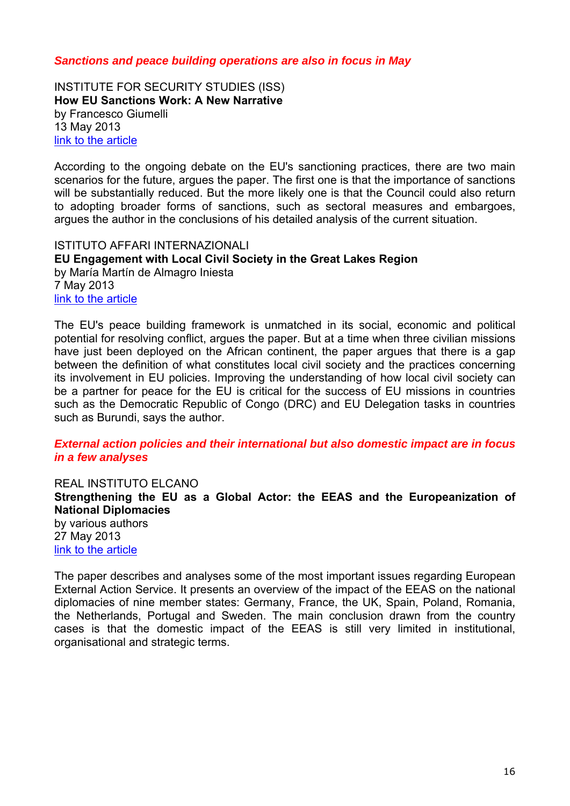## *Sanctions and peace building operations are also in focus in May*

<span id="page-15-1"></span><span id="page-15-0"></span>INSTITUTE FOR SECURITY STUDIES (ISS) **How EU Sanctions Work: A New Narrative**  by Francesco Giumelli 13 May 2013 [link to the article](http://www.iss.europa.eu/uploads/media/Chaillot_129.pdf)

According to the ongoing debate on the EU's sanctioning practices, there are two main scenarios for the future, argues the paper. The first one is that the importance of sanctions will be substantially reduced. But the more likely one is that the Council could also return to adopting broader forms of sanctions, such as sectoral measures and embargoes, argues the author in the conclusions of his detailed analysis of the current situation.

<span id="page-15-3"></span><span id="page-15-2"></span>ISTITUTO AFFARI INTERNAZIONALI **EU Engagement with Local Civil Society in the Great Lakes Region**  by María Martín de Almagro Iniesta 7 May 2013 [link to the article](http://www.iai.it/pdf/DocIAI/iaiwp1317.pdf)

The EU's peace building framework is unmatched in its social, economic and political potential for resolving conflict, argues the paper. But at a time when three civilian missions have just been deployed on the African continent, the paper argues that there is a gap between the definition of what constitutes local civil society and the practices concerning its involvement in EU policies. Improving the understanding of how local civil society can be a partner for peace for the EU is critical for the success of EU missions in countries such as the Democratic Republic of Congo (DRC) and EU Delegation tasks in countries such as Burundi, says the author.

#### *External action policies and their international but also domestic impact are in focus in a few analyses*

<span id="page-15-5"></span><span id="page-15-4"></span>REAL INSTITUTO ELCANO **Strengthening the EU as a Global Actor: the EEAS and the Europeanization of National Diplomacies** 

by various authors 27 May 2013 [link to the article](http://www.realinstitutoelcano.org/wps/wcm/connect/a102b9004fc8d75280efcaccba746acc/EGS-Molina-Sorroza-EU-global-actor-EEAS-europeanisation-national-diplomacies.pdf?MOD=AJPERES&CACHEID=a102b9004fc8d75280efcaccba746acc)

The paper describes and analyses some of the most important issues regarding European External Action Service. It presents an overview of the impact of the EEAS on the national diplomacies of nine member states: Germany, France, the UK, Spain, Poland, Romania, the Netherlands, Portugal and Sweden. The main conclusion drawn from the country cases is that the domestic impact of the EEAS is still very limited in institutional, organisational and strategic terms.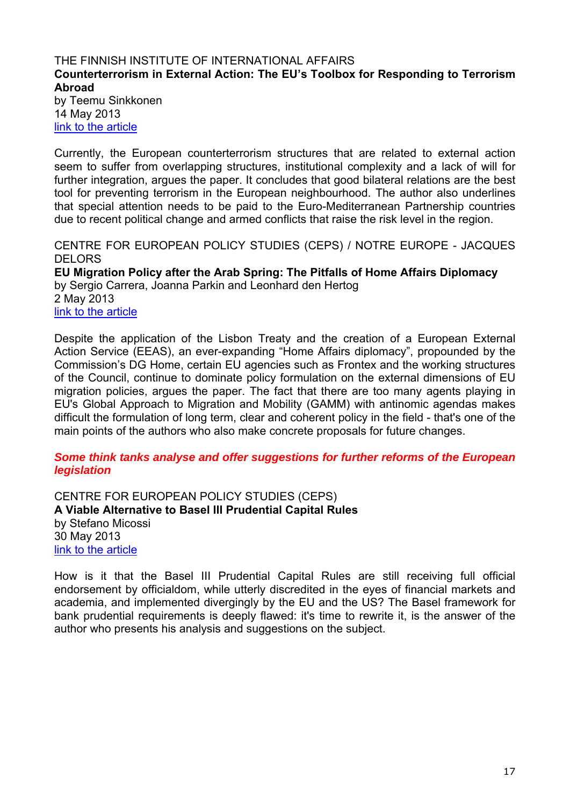## <span id="page-16-1"></span><span id="page-16-0"></span>THE FINNISH INSTITUTE OF INTERNATIONAL AFFAIRS **Counterterrorism in External Action: The EU's Toolbox for Responding to Terrorism Abroad**

by Teemu Sinkkonen 14 May 2013 [link to the article](http://www.fiia.fi/en/publication/339/counterterrorism_in_external_action/)

Currently, the European counterterrorism structures that are related to external action seem to suffer from overlapping structures, institutional complexity and a lack of will for further integration, argues the paper. It concludes that good bilateral relations are the best tool for preventing terrorism in the European neighbourhood. The author also underlines that special attention needs to be paid to the Euro-Mediterranean Partnership countries due to recent political change and armed conflicts that raise the risk level in the region.

<span id="page-16-2"></span>CENTRE FOR EUROPEAN POLICY STUDIES (CEPS) / NOTRE EUROPE - JACQUES DELORS

<span id="page-16-3"></span>**EU Migration Policy after the Arab Spring: The Pitfalls of Home Affairs Diplomacy**  by Sergio Carrera, Joanna Parkin and Leonhard den Hertog 2 May 2013 [link to the article](http://www.ceps.be/ceps/dld/8004/pdf)

Despite the application of the Lisbon Treaty and the creation of a European External Action Service (EEAS), an ever-expanding "Home Affairs diplomacy", propounded by the Commission's DG Home, certain EU agencies such as Frontex and the working structures of the Council, continue to dominate policy formulation on the external dimensions of EU migration policies, argues the paper. The fact that there are too many agents playing in EU's Global Approach to Migration and Mobility (GAMM) with antinomic agendas makes difficult the formulation of long term, clear and coherent policy in the field - that's one of the main points of the authors who also make concrete proposals for future changes.

## *Some think tanks analyse and offer suggestions for further reforms of the European legislation*

<span id="page-16-5"></span><span id="page-16-4"></span>CENTRE FOR EUROPEAN POLICY STUDIES (CEPS) **A Viable Alternative to Basel III Prudential Capital Rules**  by Stefano Micossi 30 May 2013 [link to the article](http://www.ceps.be/ceps/dld/8075/pdf)

How is it that the Basel III Prudential Capital Rules are still receiving full official endorsement by officialdom, while utterly discredited in the eyes of financial markets and academia, and implemented divergingly by the EU and the US? The Basel framework for bank prudential requirements is deeply flawed: it's time to rewrite it, is the answer of the author who presents his analysis and suggestions on the subject.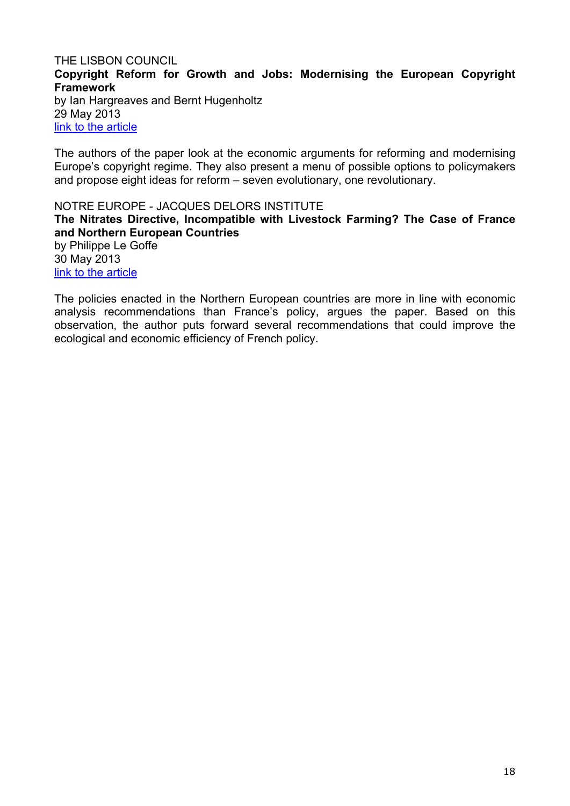## <span id="page-17-1"></span><span id="page-17-0"></span>THE LISBON COUNCIL **Copyright Reform for Growth and Jobs: Modernising the European Copyright Framework**

by Ian Hargreaves and Bernt Hugenholtz 29 May 2013 [link to the article](http://www.lisboncouncil.net/publication/publication/95-copyright-reform-for-growth-and-jobs-modernising-the-european-copyright-framework.html)

The authors of the paper look at the economic arguments for reforming and modernising Europe's copyright regime. They also present a menu of possible options to policymakers and propose eight ideas for reform – seven evolutionary, one revolutionary.

<span id="page-17-3"></span><span id="page-17-2"></span>NOTRE EUROPE - JACQUES DELORS INSTITUTE **The Nitrates Directive, Incompatible with Livestock Farming? The Case of France and Northern European Countries**  by Philippe Le Goffe 30 May 2013 [link to the article](http://www.eng.notre-europe.eu/media/nitratesdirective-legoffe-ne-jdi-may13.pdf)

The policies enacted in the Northern European countries are more in line with economic analysis recommendations than France's policy, argues the paper. Based on this observation, the author puts forward several recommendations that could improve the ecological and economic efficiency of French policy.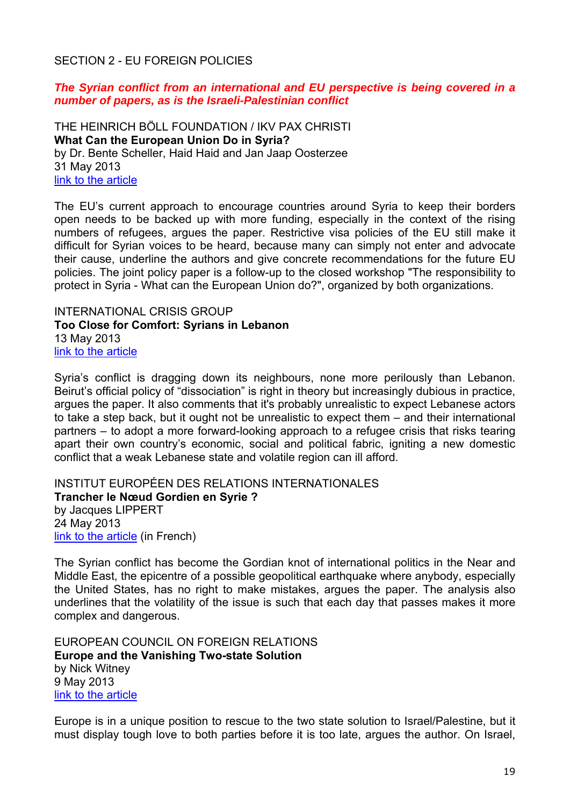## <span id="page-18-0"></span>SECTION 2 - EU FOREIGN POLICIES

## *The Syrian conflict from an international and EU perspective is being covered in a number of papers, as is the Israeli-Palestinian conflict*

<span id="page-18-2"></span><span id="page-18-1"></span>THE HEINRICH BÖLL FOUNDATION / IKV PAX CHRISTI **What Can the European Union Do in Syria?**  by Dr. Bente Scheller, Haid Haid and Jan Jaap Oosterzee 31 May 2013 [link to the article](http://www.boell.org/downloads/HBS_What_Can_the_EU_do_in_Syria.pdf)

The EU's current approach to encourage countries around Syria to keep their borders open needs to be backed up with more funding, especially in the context of the rising numbers of refugees, argues the paper. Restrictive visa policies of the EU still make it difficult for Syrian voices to be heard, because many can simply not enter and advocate their cause, underline the authors and give concrete recommendations for the future EU policies. The joint policy paper is a follow-up to the closed workshop "The responsibility to protect in Syria - What can the European Union do?", organized by both organizations.

<span id="page-18-4"></span><span id="page-18-3"></span>INTERNATIONAL CRISIS GROUP **Too Close for Comfort: Syrians in Lebanon**  13 May 2013 [link to the article](http://www.crisisgroup.org/%7E/media/Files/Middle%20East%20North%20Africa/Iraq%20Syria%20Lebanon/Lebanon/141-too-close-for-comfort-syrians-in-lebanon.pdf)

Syria's conflict is dragging down its neighbours, none more perilously than Lebanon. Beirut's official policy of "dissociation" is right in theory but increasingly dubious in practice, argues the paper. It also comments that it's probably unrealistic to expect Lebanese actors to take a step back, but it ought not be unrealistic to expect them – and their international partners – to adopt a more forward-looking approach to a refugee crisis that risks tearing apart their own country's economic, social and political fabric, igniting a new domestic conflict that a weak Lebanese state and volatile region can ill afford.

<span id="page-18-6"></span><span id="page-18-5"></span>INSTITUT EUROPÉEN DES RELATIONS INTERNATIONALES **Trancher le Nœud Gordien en Syrie ?** by Jacques LIPPERT 24 May 2013 [link to the article](http://www.ieri.be/sites/default/files/filefield/news/Trancher%20le%20noeud%20gordien%20en%20Syrie%20(Lippert)%20WORKING%20PAPER.9%20.pdf) (in French)

The Syrian conflict has become the Gordian knot of international politics in the Near and Middle East, the epicentre of a possible geopolitical earthquake where anybody, especially the United States, has no right to make mistakes, argues the paper. The analysis also underlines that the volatility of the issue is such that each day that passes makes it more complex and dangerous.

<span id="page-18-8"></span><span id="page-18-7"></span>EUROPEAN COUNCIL ON FOREIGN RELATIONS **Europe and the Vanishing Two-state Solution**  by Nick Witney 9 May 2013 [link to the article](http://ecfr.eu/page/-/ECFR78_MEPP_REPORT.pdf)

Europe is in a unique position to rescue to the two state solution to Israel/Palestine, but it must display tough love to both parties before it is too late, argues the author. On Israel,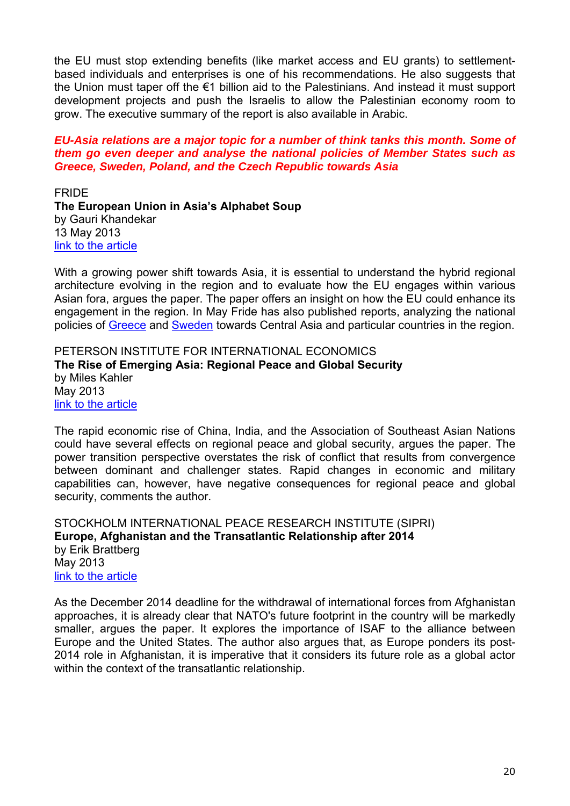the EU must stop extending benefits (like market access and EU grants) to settlementbased individuals and enterprises is one of his recommendations. He also suggests that the Union must taper off the €1 billion aid to the Palestinians. And instead it must support development projects and push the Israelis to allow the Palestinian economy room to grow. The executive summary of the report is also available in Arabic.

#### *EU-Asia relations are a major topic for a number of think tanks this month. Some of them go even deeper and analyse the national policies of Member States such as Greece, Sweden, Poland, and the Czech Republic towards Asia*

<span id="page-19-1"></span><span id="page-19-0"></span>FRIDE **The European Union in Asia's Alphabet Soup**  by Gauri Khandekar 13 May 2013 [link to the article](http://www.fride.org/publication/1126/the-european-union-in-asia%E2%80%99s-alphabet-soup)

With a growing power shift towards Asia, it is essential to understand the hybrid regional architecture evolving in the region and to evaluate how the EU engages within various Asian fora, argues the paper. The paper offers an insight on how the EU could enhance its engagement in the region. In May Fride has also published reports, analyzing the national policies of [Greece](http://www.fride.org/publication/1124/greece-and-central-asia) and [Sweden](http://www.fride.org/publication/1125/sweden-and-central-asia) towards Central Asia and particular countries in the region.

<span id="page-19-3"></span><span id="page-19-2"></span>PETERSON INSTITUTE FOR INTERNATIONAL ECONOMICS **The Rise of Emerging Asia: Regional Peace and Global Security**  by Miles Kahler May 2013 [link to the article](http://www.iie.com/publications/wp/wp13-4.pdf)

The rapid economic rise of China, India, and the Association of Southeast Asian Nations could have several effects on regional peace and global security, argues the paper. The power transition perspective overstates the risk of conflict that results from convergence between dominant and challenger states. Rapid changes in economic and military capabilities can, however, have negative consequences for regional peace and global security, comments the author.

<span id="page-19-5"></span><span id="page-19-4"></span>STOCKHOLM INTERNATIONAL PEACE RESEARCH INSTITUTE (SIPRI) **Europe, Afghanistan and the Transatlantic Relationship after 2014**  by Erik Brattberg May 2013 [link to the article](http://books.sipri.org/files/misc/SIPRI13wcaEB.pdf)

As the December 2014 deadline for the withdrawal of international forces from Afghanistan approaches, it is already clear that NATO's future footprint in the country will be markedly smaller, argues the paper. It explores the importance of ISAF to the alliance between Europe and the United States. The author also argues that, as Europe ponders its post-2014 role in Afghanistan, it is imperative that it considers its future role as a global actor within the context of the transatlantic relationship.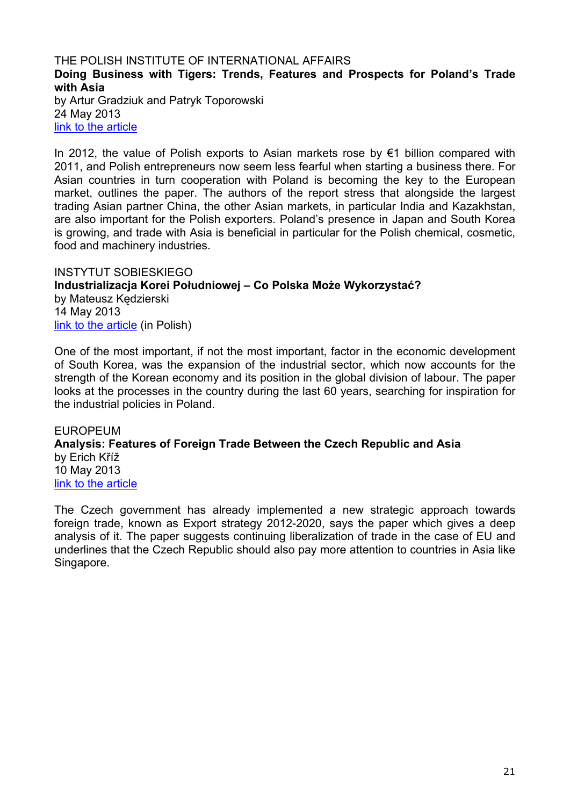#### <span id="page-20-1"></span><span id="page-20-0"></span>THE POLISH INSTITUTE OF INTERNATIONAL AFFAIRS **Doing Business with Tigers: Trends, Features and Prospects for Poland's Trade with Asia**  by Artur Gradziuk and Patryk Toporowski 24 May 2013 [link to the article](http://www.pism.pl/Publications/reports/Doing-business-with-tigers)

In 2012, the value of Polish exports to Asian markets rose by €1 billion compared with 2011, and Polish entrepreneurs now seem less fearful when starting a business there. For Asian countries in turn cooperation with Poland is becoming the key to the European market, outlines the paper. The authors of the report stress that alongside the largest trading Asian partner China, the other Asian markets, in particular India and Kazakhstan, are also important for the Polish exporters. Poland's presence in Japan and South Korea is growing, and trade with Asia is beneficial in particular for the Polish chemical, cosmetic, food and machinery industries.

<span id="page-20-3"></span><span id="page-20-2"></span>INSTYTUT SOBIESKIEGO **Industrializacja Korei Południowej – Co Polska Może Wykorzystać?**  by Mateusz Kędzierski 14 May 2013 [link to the article](http://www.sobieski.org.pl/wp-content/uploads/R051-2013-V-K%C4%99dzierski-Korea.pdf) (in Polish)

One of the most important, if not the most important, factor in the economic development of South Korea, was the expansion of the industrial sector, which now accounts for the strength of the Korean economy and its position in the global division of labour. The paper looks at the processes in the country during the last 60 years, searching for inspiration for the industrial policies in Poland.

<span id="page-20-5"></span><span id="page-20-4"></span>EUROPEUM **Analysis: Features of Foreign Trade Between the Czech Republic and Asia**  by Erich Kříž 10 May 2013 [link to the article](http://www.europeum.org/images/paper/cz_trade_asia.pdf)

The Czech government has already implemented a new strategic approach towards foreign trade, known as Export strategy 2012-2020, says the paper which gives a deep analysis of it. The paper suggests continuing liberalization of trade in the case of EU and underlines that the Czech Republic should also pay more attention to countries in Asia like Singapore.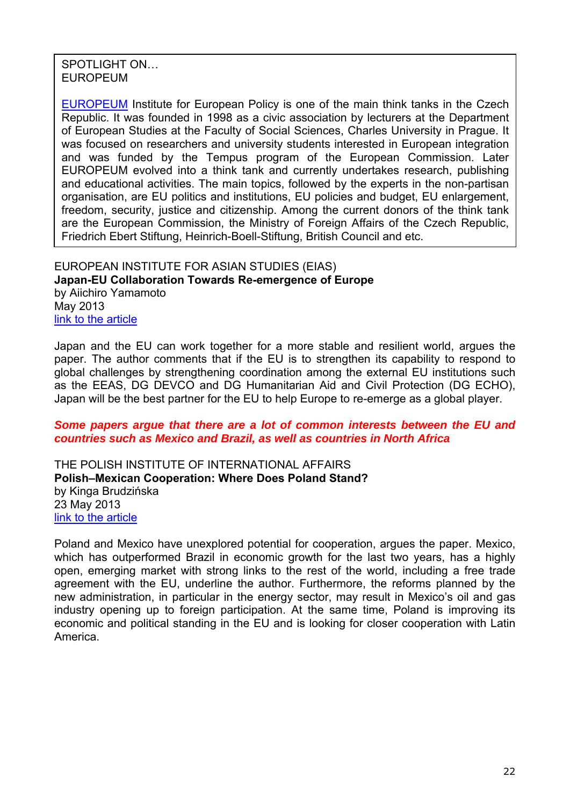SPOTLIGHT ON… EUROPEUM

[EUROPEUM](http://www.europeum.org/en/) Institute for European Policy is one of the main think tanks in the Czech Republic. It was founded in 1998 as a civic association by lecturers at the Department of European Studies at the Faculty of Social Sciences, Charles University in Prague. It was focused on researchers and university students interested in European integration and was funded by the Tempus program of the European Commission. Later EUROPEUM evolved into a think tank and currently undertakes research, publishing and educational activities. The main topics, followed by the experts in the non-partisan organisation, are EU politics and institutions, EU policies and budget, EU enlargement, freedom, security, justice and citizenship. Among the current donors of the think tank are the European Commission, the Ministry of Foreign Affairs of the Czech Republic, Friedrich Ebert Stiftung, Heinrich-Boell-Stiftung, British Council and etc.

<span id="page-21-1"></span><span id="page-21-0"></span>EUROPEAN INSTITUTE FOR ASIAN STUDIES (EIAS) **Japan-EU Collaboration Towards Re-emergence of Europe**  by Aiichiro Yamamoto May 2013 [link to the article](http://www.eias.org/sites/default/files/EU-Asia-at-a-glance-Yamamoto-Japan-EU-collaboration_0.pdf)

Japan and the EU can work together for a more stable and resilient world, argues the paper. The author comments that if the EU is to strengthen its capability to respond to global challenges by strengthening coordination among the external EU institutions such as the EEAS, DG DEVCO and DG Humanitarian Aid and Civil Protection (DG ECHO), Japan will be the best partner for the EU to help Europe to re-emerge as a global player.

#### *Some papers argue that there are a lot of common interests between the EU and countries such as Mexico and Brazil, as well as countries in North Africa*

<span id="page-21-3"></span><span id="page-21-2"></span>THE POLISH INSTITUTE OF INTERNATIONAL AFFAIRS **Polish–Mexican Cooperation: Where Does Poland Stand?**  by Kinga Brudzińska 23 May 2013 [link to the article](http://www.pism.pl/Publications/PISM-Policy-Paper-no-60)

Poland and Mexico have unexplored potential for cooperation, argues the paper. Mexico, which has outperformed Brazil in economic growth for the last two years, has a highly open, emerging market with strong links to the rest of the world, including a free trade agreement with the EU, underline the author. Furthermore, the reforms planned by the new administration, in particular in the energy sector, may result in Mexico's oil and gas industry opening up to foreign participation. At the same time, Poland is improving its economic and political standing in the EU and is looking for closer cooperation with Latin America.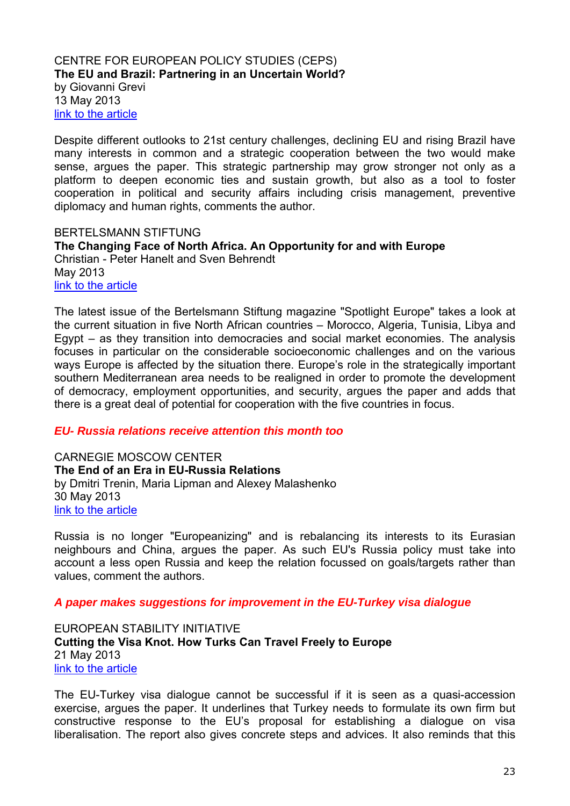#### <span id="page-22-1"></span><span id="page-22-0"></span>CENTRE FOR EUROPEAN POLICY STUDIES (CEPS) **The EU and Brazil: Partnering in an Uncertain World?**  by Giovanni Grevi 13 May 2013 [link to the article](http://www.ceps.be/ceps/dld/8017/pdf)

Despite different outlooks to 21st century challenges, declining EU and rising Brazil have many interests in common and a strategic cooperation between the two would make sense, argues the paper. This strategic partnership may grow stronger not only as a platform to deepen economic ties and sustain growth, but also as a tool to foster cooperation in political and security affairs including crisis management, preventive diplomacy and human rights, comments the author.

<span id="page-22-3"></span><span id="page-22-2"></span>BERTELSMANN STIFTUNG **The Changing Face of North Africa. An Opportunity for and with Europe**  Christian - Peter Hanelt and Sven Behrendt May 2013 [link to the article](http://www.bertelsmann-stiftung.de/cps/rde/xbcr/SID-1F989EFC-ED079B8E/bst_engl/xcms_bst_dms_37944__2.pdf)

The latest issue of the Bertelsmann Stiftung magazine "Spotlight Europe" takes a look at the current situation in five North African countries – Morocco, Algeria, Tunisia, Libya and Egypt – as they transition into democracies and social market economies. The analysis focuses in particular on the considerable socioeconomic challenges and on the various ways Europe is affected by the situation there. Europe's role in the strategically important southern Mediterranean area needs to be realigned in order to promote the development of democracy, employment opportunities, and security, argues the paper and adds that there is a great deal of potential for cooperation with the five countries in focus.

#### *EU- Russia relations receive attention this month too*

<span id="page-22-5"></span><span id="page-22-4"></span>CARNEGIE MOSCOW CENTER **The End of an Era in EU-Russia Relations**  by Dmitri Trenin, Maria Lipman and Alexey Malashenko 30 May 2013 [link to the article](http://carnegie.ru/2013/05/30/end-of-era-in-eu-russia-relations/g7fw)

Russia is no longer "Europeanizing" and is rebalancing its interests to its Eurasian neighbours and China, argues the paper. As such EU's Russia policy must take into account a less open Russia and keep the relation focussed on goals/targets rather than values, comment the authors.

#### *A paper makes suggestions for improvement in the EU-Turkey visa dialogue*

<span id="page-22-7"></span><span id="page-22-6"></span>EUROPEAN STABILITY INITIATIVE **Cutting the Visa Knot. How Turks Can Travel Freely to Europe**  21 May 2013 [link to the article](http://www.esiweb.org/pdf/esi_document_id_139.pdf)

The EU-Turkey visa dialogue cannot be successful if it is seen as a quasi-accession exercise, argues the paper. It underlines that Turkey needs to formulate its own firm but constructive response to the EU's proposal for establishing a dialogue on visa liberalisation. The report also gives concrete steps and advices. It also reminds that this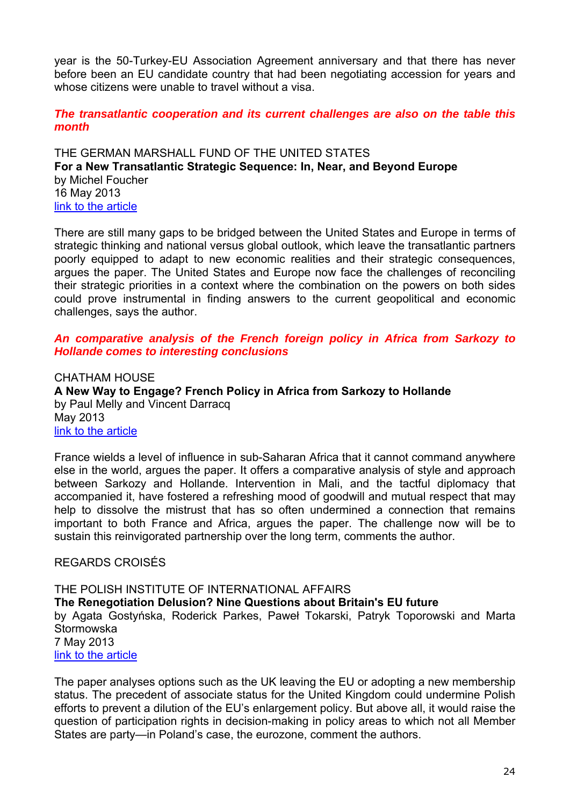year is the 50-Turkey-EU Association Agreement anniversary and that there has never before been an EU candidate country that had been negotiating accession for years and whose citizens were unable to travel without a visa.

*The transatlantic cooperation and its current challenges are also on the table this month*

<span id="page-23-1"></span><span id="page-23-0"></span>THE GERMAN MARSHALL FUND OF THE UNITED STATES **For a New Transatlantic Strategic Sequence: In, Near, and Beyond Europe**  by Michel Foucher 16 May 2013 [link to the article](http://www.gmfus.org/wp-content/blogs.dir/1/files_mf/1368727110TSTF_Foucher_NewStrategicSequence_May13.pdf)

There are still many gaps to be bridged between the United States and Europe in terms of strategic thinking and national versus global outlook, which leave the transatlantic partners poorly equipped to adapt to new economic realities and their strategic consequences, argues the paper. The United States and Europe now face the challenges of reconciling their strategic priorities in a context where the combination on the powers on both sides could prove instrumental in finding answers to the current geopolitical and economic challenges, says the author.

## *An comparative analysis of the French foreign policy in Africa from Sarkozy to Hollande comes to interesting conclusions*

<span id="page-23-3"></span><span id="page-23-2"></span>CHATHAM HOUSE **A New Way to Engage? French Policy in Africa from Sarkozy to Hollande**  by Paul Melly and Vincent Darracq May 2013 [link to the article](http://www.chathamhouse.org/sites/default/files/public/Research/Africa/0513pp_franceafrica.pdf)

France wields a level of influence in sub-Saharan Africa that it cannot command anywhere else in the world, argues the paper. It offers a comparative analysis of style and approach between Sarkozy and Hollande. Intervention in Mali, and the tactful diplomacy that accompanied it, have fostered a refreshing mood of goodwill and mutual respect that may help to dissolve the mistrust that has so often undermined a connection that remains important to both France and Africa, argues the paper. The challenge now will be to sustain this reinvigorated partnership over the long term, comments the author.

## <span id="page-23-4"></span>REGARDS CROISÉS

<span id="page-23-6"></span><span id="page-23-5"></span>THE POLISH INSTITUTE OF INTERNATIONAL AFFAIRS **The Renegotiation Delusion? Nine Questions about Britain's EU future**  by Agata Gostyńska, Roderick Parkes, Paweł Tokarski, Patryk Toporowski and Marta **Stormowska** 7 May 2013 [link to the article](http://www.pism.pl/Publications/Reports/PISM-Report-The-Renegotiation-Delusion-Nine-Questions-about-Britain-s-EU-future)

The paper analyses options such as the UK leaving the EU or adopting a new membership status. The precedent of associate status for the United Kingdom could undermine Polish efforts to prevent a dilution of the EU's enlargement policy. But above all, it would raise the question of participation rights in decision-making in policy areas to which not all Member States are party—in Poland's case, the eurozone, comment the authors.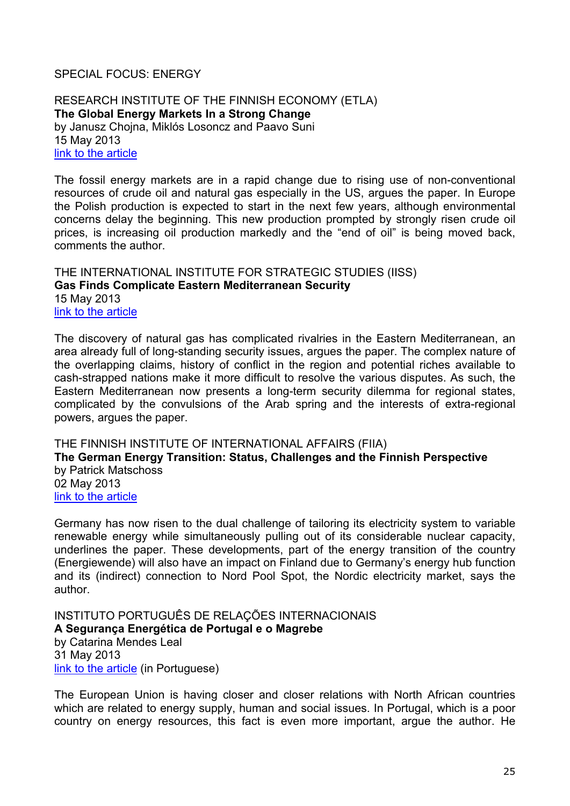## <span id="page-24-0"></span>SPECIAL FOCUS: ENERGY

<span id="page-24-2"></span><span id="page-24-1"></span>RESEARCH INSTITUTE OF THE FINNISH ECONOMY (ETLA) **The Global Energy Markets In a Strong Change**  by Janusz Chojna, Miklós Losoncz and Paavo Suni 15 May 2013 [link to the article](http://www.etla.fi/wp-content/uploads/ETLA-Muistio-Brief-12.pdf)

The fossil energy markets are in a rapid change due to rising use of non-conventional resources of crude oil and natural gas especially in the US, argues the paper. In Europe the Polish production is expected to start in the next few years, although environmental concerns delay the beginning. This new production prompted by strongly risen crude oil prices, is increasing oil production markedly and the "end of oil" is being moved back, comments the author.

## <span id="page-24-4"></span><span id="page-24-3"></span>THE INTERNATIONAL INSTITUTE FOR STRATEGIC STUDIES (IISS) **Gas Finds Complicate Eastern Mediterranean Security** 15 May 2013 [link to the article](http://www.iiss.org/%7E/media/Silos/Strategic%20comments/2013/Gas-finds-complicate-eastern-Mediterranean-security/Gas-finds-complicate-eastern-Mediterranean-security.pdf)

The discovery of natural gas has complicated rivalries in the Eastern Mediterranean, an area already full of long-standing security issues, argues the paper. The complex nature of the overlapping claims, history of conflict in the region and potential riches available to cash-strapped nations make it more difficult to resolve the various disputes. As such, the Eastern Mediterranean now presents a long-term security dilemma for regional states, complicated by the convulsions of the Arab spring and the interests of extra-regional powers, argues the paper.

<span id="page-24-6"></span><span id="page-24-5"></span>THE FINNISH INSTITUTE OF INTERNATIONAL AFFAIRS (FIIA) **The German Energy Transition: Status, Challenges and the Finnish Perspective**  by Patrick Matschoss 02 May 2013 [link to the article](http://www.fiia.fi/en/publication/338/the_german_energy_transition/)

Germany has now risen to the dual challenge of tailoring its electricity system to variable renewable energy while simultaneously pulling out of its considerable nuclear capacity, underlines the paper. These developments, part of the energy transition of the country (Energiewende) will also have an impact on Finland due to Germany's energy hub function and its (indirect) connection to Nord Pool Spot, the Nordic electricity market, says the author.

<span id="page-24-8"></span><span id="page-24-7"></span>INSTITUTO PORTUGUÊS DE RELAÇÕES INTERNACIONAIS **A Segurança Energética de Portugal e o Magrebe**  by Catarina Mendes Leal 31 May 2013 [link to the article](http://www.ipri.pt/publicacoes/working_paper/pdf/WP52_CML_0513.pdf) (in Portuguese)

The European Union is having closer and closer relations with North African countries which are related to energy supply, human and social issues. In Portugal, which is a poor country on energy resources, this fact is even more important, argue the author. He